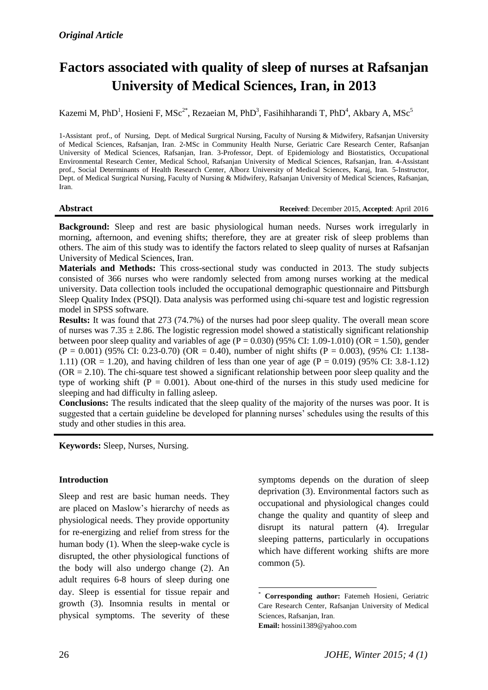# **Factors associated with quality of sleep of nurses at Rafsanjan University of Medical Sciences, Iran, in 2013**

Kazemi M, PhD<sup>1</sup>, Hosieni F, MSc<sup>2\*</sup>, Rezaeian M, PhD<sup>3</sup>, Fasihihharandi T, PhD<sup>4</sup>, Akbary A, MSc<sup>5</sup>

1-Assistant prof., of Nursing, Dept. of Medical Surgrical Nursing, Faculty of Nursing & Midwifery, Rafsanjan University of Medical Sciences, Rafsanjan, Iran. 2-MSc in [Community Health Nurse,](https://www.google.com/search?q=community+health+nurse&tbm=isch&tbo=u&source=univ&sa=X&ved=0ahUKEwjmgtuKoe_MAhVJK1IKHQirAIYQsAQIQA) Geriatric Care Research Center, Rafsanjan University of Medical Sciences, Rafsanjan, Iran. 3-Professor, Dept. of Epidemiology and Biostatistics, Occupational Environmental Research Center, Medical School, Rafsanjan University of Medical Sciences, Rafsanjan, Iran. 4-Assistant prof., Social Determinants of Health Research Center, Alborz University of Medical Sciences, Karaj, Iran. 5-Instructor, Dept. of Medical Surgrical Nursing, Faculty of Nursing & Midwifery, Rafsanjan University of Medical Sciences, Rafsanjan, Iran.

#### **Abstract Received**: December 2015, **Accepted**: April 2016

**Background:** Sleep and rest are basic physiological human needs. Nurses work irregularly in morning, afternoon, and evening shifts; therefore, they are at greater risk of sleep problems than others. The aim of this study was to identify the factors related to sleep quality of nurses at Rafsanjan University of Medical Sciences, Iran.

**Materials and Methods:** This cross-sectional study was conducted in 2013. The study subjects consisted of 366 nurses who were randomly selected from among nurses working at the medical university. Data collection tools included the occupational demographic questionnaire and Pittsburgh Sleep Quality Index (PSQI). Data analysis was performed using chi-square test and logistic regression model in SPSS software.

**Results:** It was found that 273 (74.7%) of the nurses had poor sleep quality. The overall mean score of nurses was  $7.35 \pm 2.86$ . The logistic regression model showed a statistically significant relationship between poor sleep quality and variables of age  $(P = 0.030)$  (95% CI: 1.09-1.010) (OR = 1.50), gender  $(P = 0.001)$  (95% CI: 0.23-0.70) (OR = 0.40), number of night shifts (P = 0.003), (95% CI: 1.138-1.11) (OR = 1.20), and having children of less than one year of age (P = 0.019) (95% CI: 3.8-1.12)  $(OR = 2.10)$ . The chi-square test showed a significant relationship between poor sleep quality and the type of working shift  $(P = 0.001)$ . About one-third of the nurses in this study used medicine for sleeping and had difficulty in falling asleep.

**Conclusions:** The results indicated that the sleep quality of the majority of the nurses was poor. It is suggested that a certain guideline be developed for planning nurses' schedules using the results of this study and other studies in this area.

**.** 

**Keywords:** Sleep, Nurses, Nursing.

#### **Introduction**

Sleep and rest are basic human needs. They are placed on Maslow's hierarchy of needs as physiological needs. They provide opportunity for re-energizing and relief from stress for the human body (1). When the sleep-wake cycle is disrupted, the other physiological functions of the body will also undergo change (2). An adult requires 6-8 hours of sleep during one day. Sleep is essential for tissue repair and growth (3). Insomnia results in mental or physical symptoms. The severity of these symptoms depends on the duration of sleep deprivation (3). Environmental factors such as occupational and physiological changes could change the quality and quantity of sleep and disrupt its natural pattern (4). Irregular sleeping patterns, particularly in occupations which have different working shifts are more common (5).

<sup>\*</sup> **Corresponding author:** Fatemeh Hosieni, Geriatric Care Research Center, Rafsanjan University of Medical Sciences, Rafsanjan, Iran. **Email:** hossini1389@yahoo.com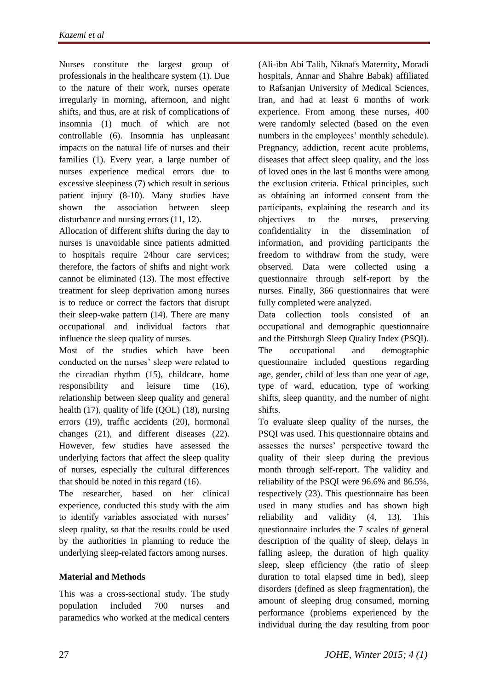Nurses constitute the largest group of professionals in the healthcare system (1). Due to the nature of their work, nurses operate irregularly in morning, afternoon, and night shifts, and thus, are at risk of complications of insomnia (1) much of which are not controllable (6). Insomnia has unpleasant impacts on the natural life of nurses and their families (1). Every year, a large number of nurses experience medical errors due to excessive sleepiness (7) which result in serious patient injury (8-10). Many studies have shown the association between sleep disturbance and nursing errors (11, 12).

Allocation of different shifts during the day to nurses is unavoidable since patients admitted to hospitals require 24hour care services; therefore, the factors of shifts and night work cannot be eliminated (13). The most effective treatment for sleep deprivation among nurses is to reduce or correct the factors that disrupt their sleep-wake pattern (14). There are many occupational and individual factors that influence the sleep quality of nurses.

Most of the studies which have been conducted on the nurses' sleep were related to the circadian rhythm (15), childcare, home responsibility and leisure time (16), relationship between sleep quality and general health (17), quality of life (QOL) (18), nursing errors (19), traffic accidents (20), hormonal changes (21), and different diseases (22). However, few studies have assessed the underlying factors that affect the sleep quality of nurses, especially the cultural differences that should be noted in this regard (16).

The researcher, based on her clinical experience, conducted this study with the aim to identify variables associated with nurses' sleep quality, so that the results could be used by the authorities in planning to reduce the underlying sleep-related factors among nurses.

# **Material and Methods**

This was a cross-sectional study. The study population included 700 nurses and paramedics who worked at the medical centers

(Ali-ibn Abi Talib, Niknafs Maternity, Moradi hospitals, Annar and Shahre Babak) affiliated to Rafsanjan University of Medical Sciences, Iran, and had at least 6 months of work experience. From among these nurses, 400 were randomly selected (based on the even numbers in the employees' monthly schedule). Pregnancy, addiction, recent acute problems, diseases that affect sleep quality, and the loss of loved ones in the last 6 months were among the exclusion criteria. Ethical principles, such as obtaining an informed consent from the participants, explaining the research and its objectives to the nurses, preserving confidentiality in the dissemination of information, and providing participants the freedom to withdraw from the study, were observed. Data were collected using a questionnaire through self-report by the nurses. Finally, 366 questionnaires that were fully completed were analyzed.

Data collection tools consisted of an occupational and demographic questionnaire and the Pittsburgh Sleep Quality Index (PSQI). The occupational and demographic questionnaire included questions regarding age, gender, child of less than one year of age, type of ward, education, type of working shifts, sleep quantity, and the number of night shifts.

To evaluate sleep quality of the nurses, the PSQI was used. This questionnaire obtains and assesses the nurses' perspective toward the quality of their sleep during the previous month through self-report. The validity and reliability of the PSQI were 96.6% and 86.5%, respectively (23). This questionnaire has been used in many studies and has shown high reliability and validity (4, 13). This questionnaire includes the 7 scales of general description of the quality of sleep, delays in falling asleep, the duration of high quality sleep, sleep efficiency (the ratio of sleep duration to total elapsed time in bed), sleep disorders (defined as sleep fragmentation), the amount of sleeping drug consumed, morning performance (problems experienced by the individual during the day resulting from poor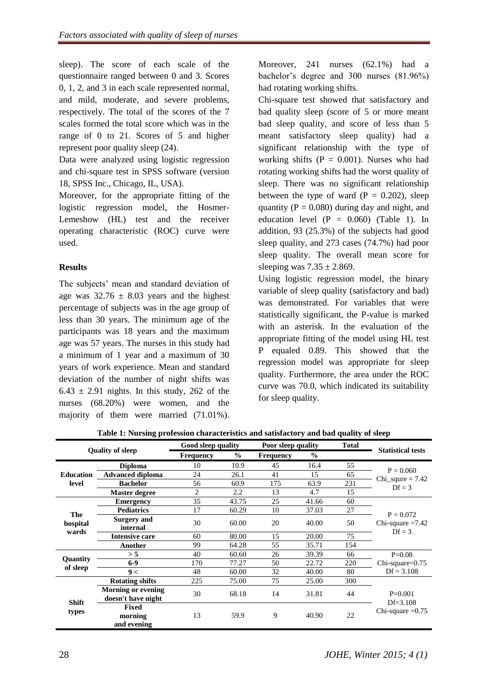sleep). The score of each scale of the questionnaire ranged between 0 and 3. Scores 0, 1, 2, and 3 in each scale represented normal, and mild, moderate, and severe problems, respectively. The total of the scores of the 7 scales formed the total score which was in the range of 0 to 21. Scores of 5 and higher represent poor quality sleep (24).

Data were analyzed using logistic regression and chi-square test in SPSS software (version 18, SPSS Inc., Chicago, IL, USA).

Moreover, for the appropriate fitting of the logistic regression model, the Hosmer-Lemeshow (HL) test and the receiver operating characteristic (ROC) curve were used.

## **Results**

The subjects' mean and standard deviation of age was  $32.76 \pm 8.03$  years and the highest percentage of subjects was in the age group of less than 30 years. The minimum age of the participants was 18 years and the maximum age was 57 years. The nurses in this study had a minimum of 1 year and a maximum of 30 years of work experience. Mean and standard deviation of the number of night shifts was  $6.43 \pm 2.91$  nights. In this study, 262 of the nurses (68.20%) were women, and the majority of them were married (71.01%).

Moreover, 241 nurses (62.1%) had a bachelor's degree and 300 nurses (81.96%) had rotating working shifts.

Chi-square test showed that satisfactory and bad quality sleep (score of 5 or more meant bad sleep quality, and score of less than 5 meant satisfactory sleep quality) had a significant relationship with the type of working shifts ( $P = 0.001$ ). Nurses who had rotating working shifts had the worst quality of sleep. There was no significant relationship between the type of ward  $(P = 0.202)$ , sleep quantity ( $P = 0.080$ ) during day and night, and education level  $(P = 0.060)$  (Table 1). In addition, 93 (25.3%) of the subjects had good sleep quality, and 273 cases (74.7%) had poor sleep quality. The overall mean score for sleeping was  $7.35 \pm 2.869$ .

Using logistic regression model, the binary variable of sleep quality (satisfactory and bad) was demonstrated. For variables that were statistically significant, the P-value is marked with an asterisk. In the evaluation of the appropriate fitting of the model using HL test P equaled 0.89. This showed that the regression model was appropriate for sleep quality. Furthermore, the area under the ROC curve was 70.0, which indicated its suitability for sleep quality.

| <b>Ouality of sleep</b>     |                                                 | Good sleep quality |       | Poor sleep quality |       | <b>Total</b> | <b>Statistical tests</b>                        |
|-----------------------------|-------------------------------------------------|--------------------|-------|--------------------|-------|--------------|-------------------------------------------------|
|                             |                                                 | <b>Frequency</b>   | $\%$  | <b>Frequency</b>   | $\%$  |              |                                                 |
| <b>Education</b><br>level   | <b>Diploma</b>                                  | 10                 | 10.9  | 45                 | 16.4  | 55           | $P = 0.060$<br>$Chi\_square = 7.42$<br>$Df = 3$ |
|                             | <b>Advanced diploma</b>                         | 24                 | 26.1  | 41                 | 15    | 65           |                                                 |
|                             | <b>Bachelor</b>                                 | 56                 | 60.9  | 175                | 63.9  | 231          |                                                 |
|                             | <b>Master degree</b>                            | 2                  | 2.2   | 13                 | 4.7   | 15           |                                                 |
| The<br>hospital<br>wards    | <b>Emergency</b>                                | 35                 | 43.75 | 25                 | 41.66 | 60           |                                                 |
|                             | <b>Pediatrics</b>                               | 17                 | 60.29 | 10                 | 37.03 | 27           | $P = 0.072$                                     |
|                             | <b>Surgery</b> and<br>internal                  | 30                 | 60.00 | 20                 | 40.00 | 50           | Chi-square $=7.42$<br>$Df = 3$                  |
|                             | <b>Intensive care</b>                           | 60                 | 80.00 | 15                 | 20.00 | 75           |                                                 |
|                             | Another                                         | 99                 | 64.28 | 55                 | 35.71 | 154          |                                                 |
| <b>Quantity</b><br>of sleep | > 5                                             | 40                 | 60.60 | 26                 | 39.39 | 66           | $P=0.08$                                        |
|                             | $6-9$                                           | 170                | 77.27 | 50                 | 22.72 | 220          | $Chi$ -square= $0.75$                           |
|                             | 9<                                              | 48                 | 60.00 | 32                 | 40.00 | 80           | $Df = 3.108$                                    |
| <b>Shift</b><br>types       | <b>Rotating shifts</b>                          | 225                | 75.00 | 75                 | 25.00 | 300          |                                                 |
|                             | <b>Morning or evening</b><br>doesn't have night | 30                 | 68.18 | 14                 | 31.81 | 44           | $P=0.001$<br>$Df = 3.108$                       |
|                             | <b>Fixed</b><br>morning<br>and evening          | 13                 | 59.9  | 9                  | 40.90 | 22           | Chi-square $=0.75$                              |

**Table 1: Nursing profession characteristics and satisfactory and bad quality of sleep**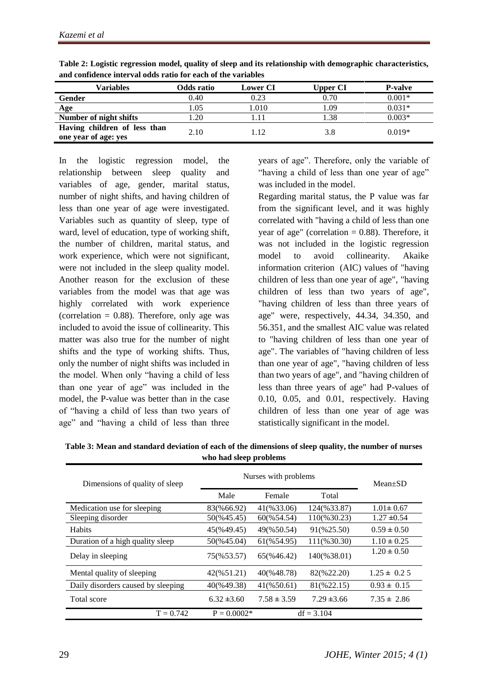| Variables                                            | Odds ratio | <b>Lower CI</b> | <b>Upper CI</b> | <b>P-valve</b> |
|------------------------------------------------------|------------|-----------------|-----------------|----------------|
| Gender                                               | 0.40       | 0.23            | 0.70            | $0.001*$       |
| Age                                                  | .05        | 1.010           | 1.09            | $0.031*$       |
| Number of night shifts                               | .20        |                 | 1.38            | $0.003*$       |
| Having children of less than<br>one year of age: yes | 2.10       | 1.12            | 3.8             | $0.019*$       |

**Table 2: Logistic regression model, quality of sleep and its relationship with demographic characteristics, and confidence interval odds ratio for each of the variables**

In the logistic regression model, the relationship between sleep quality and variables of age, gender, marital status, number of night shifts, and having children of less than one year of age were investigated. Variables such as quantity of sleep, type of ward, level of education, type of working shift, the number of children, marital status, and work experience, which were not significant, were not included in the sleep quality model. Another reason for the exclusion of these variables from the model was that age was highly correlated with work experience (correlation  $= 0.88$ ). Therefore, only age was included to avoid the issue of collinearity. This matter was also true for the number of night shifts and the type of working shifts. Thus, only the number of night shifts was included in the model. When only "having a child of less than one year of age" was included in the model, the P-value was better than in the case of "having a child of less than two years of age" and "having a child of less than three

years of age". Therefore, only the variable of "having a child of less than one year of age" was included in the model.

Regarding marital status, the P value was far from the significant level, and it was highly correlated with "having a child of less than one year of age" (correlation  $= 0.88$ ). Therefore, it was not included in the logistic regression model to avoid collinearity. Akaike information criterion (AIC) values of "having children of less than one year of age", "having children of less than two years of age", "having children of less than three years of age" were, respectively, 44.34, 34.350, and 56.351, and the smallest AIC value was related to "having children of less than one year of age". The variables of "having children of less than one year of age", "having children of less than two years of age", and "having children of less than three years of age" had P-values of 0.10, 0.05, and 0.01, respectively. Having children of less than one year of age was statistically significant in the model.

| Table 3: Mean and standard deviation of each of the dimensions of sleep quality, the number of nurses |
|-------------------------------------------------------------------------------------------------------|
| who had sleep problems                                                                                |

| Dimensions of quality of sleep     | Nurses with problems | $Mean \pm SD$          |                 |                 |
|------------------------------------|----------------------|------------------------|-----------------|-----------------|
|                                    | Male                 | Female                 | Total           |                 |
| Medication use for sleeping        | 83(%66.92)           | 41(%33.06)             | 124(%33.87)     | $1.01 \pm 0.67$ |
| Sleeping disorder                  | 50(%45.45)           | 60(%54.54)             | 110(%30.23)     | $1.27 \pm 0.54$ |
| <b>Habits</b>                      | 45(%49.45)           | 49(%50.54)             | 91(%25.50)      | $0.59 \pm 0.50$ |
| Duration of a high quality sleep   | 50(%45.04)           | 61(%54.95)             | 111(%30.30)     | $1.10 \pm 0.25$ |
| Delay in sleeping                  | 75(%53.57)           | 65(%46.42)             | 140(%38.01)     | $1.20 \pm 0.50$ |
| Mental quality of sleeping         | 42(%51.21)           | 40(%48.78)             | 82(%22.20)      | $1.25 \pm 0.25$ |
| Daily disorders caused by sleeping | 40(%49.38)           | $41(\frac{6}{6}50.61)$ | 81(%22.15)      | $0.93 \pm 0.15$ |
| Total score                        | $6.32 \pm 3.60$      | $7.58 \pm 3.59$        | $7.29 \pm 3.66$ | $7.35 \pm 2.86$ |
| $T = 0.742$                        | $P = 0.0002*$        |                        | $df = 3.104$    |                 |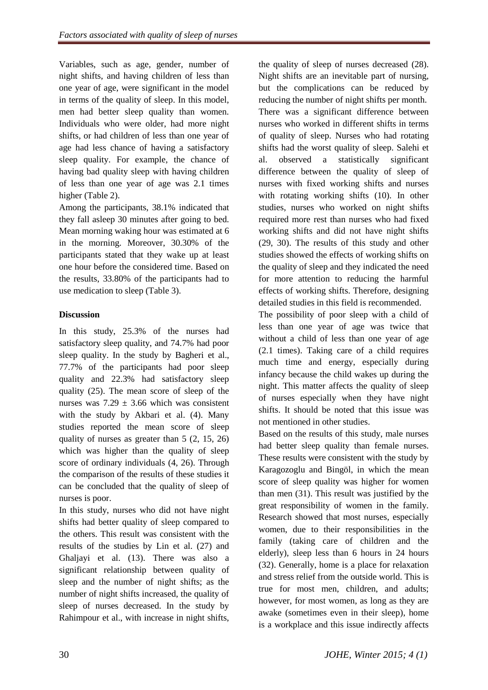Variables, such as age, gender, number of night shifts, and having children of less than one year of age, were significant in the model in terms of the quality of sleep. In this model, men had better sleep quality than women. Individuals who were older, had more night shifts, or had children of less than one year of age had less chance of having a satisfactory sleep quality. For example, the chance of having bad quality sleep with having children of less than one year of age was 2.1 times higher (Table 2).

Among the participants, 38.1% indicated that they fall asleep 30 minutes after going to bed. Mean morning waking hour was estimated at 6 in the morning. Moreover, 30.30% of the participants stated that they wake up at least one hour before the considered time. Based on the results, 33.80% of the participants had to use medication to sleep (Table 3).

# **Discussion**

In this study, 25.3% of the nurses had satisfactory sleep quality, and 74.7% had poor sleep quality. In the study by Bagheri et al., 77.7% of the participants had poor sleep quality and 22.3% had satisfactory sleep quality (25). The mean score of sleep of the nurses was  $7.29 \pm 3.66$  which was consistent with the study by Akbari et al. (4). Many studies reported the mean score of sleep quality of nurses as greater than 5 (2, 15, 26) which was higher than the quality of sleep score of ordinary individuals (4, 26). Through the comparison of the results of these studies it can be concluded that the quality of sleep of nurses is poor.

In this study, nurses who did not have night shifts had better quality of sleep compared to the others. This result was consistent with the results of the studies by Lin et al. (27) and Ghaljayi et al. (13). There was also a significant relationship between quality of sleep and the number of night shifts; as the number of night shifts increased, the quality of sleep of nurses decreased. In the study by Rahimpour et al., with increase in night shifts,

the quality of sleep of nurses decreased (28). Night shifts are an inevitable part of nursing, but the complications can be reduced by reducing the number of night shifts per month. There was a significant difference between nurses who worked in different shifts in terms of quality of sleep. Nurses who had rotating shifts had the worst quality of sleep. Salehi et al. observed a statistically significant difference between the quality of sleep of nurses with fixed working shifts and nurses with rotating working shifts (10). In other studies, nurses who worked on night shifts required more rest than nurses who had fixed working shifts and did not have night shifts (29, 30). The results of this study and other studies showed the effects of working shifts on the quality of sleep and they indicated the need for more attention to reducing the harmful effects of working shifts. Therefore, designing detailed studies in this field is recommended.

The possibility of poor sleep with a child of less than one year of age was twice that without a child of less than one year of age (2.1 times). Taking care of a child requires much time and energy, especially during infancy because the child wakes up during the night. This matter affects the quality of sleep of nurses especially when they have night shifts. It should be noted that this issue was not mentioned in other studies.

Based on the results of this study, male nurses had better sleep quality than female nurses. These results were consistent with the study by Karagozoglu and Bingöl, in which the mean score of sleep quality was higher for women than men (31). This result was justified by the great responsibility of women in the family. Research showed that most nurses, especially women, due to their responsibilities in the family (taking care of children and the elderly), sleep less than 6 hours in 24 hours (32). Generally, home is a place for relaxation and stress relief from the outside world. This is true for most men, children, and adults; however, for most women, as long as they are awake (sometimes even in their sleep), home is a workplace and this issue indirectly affects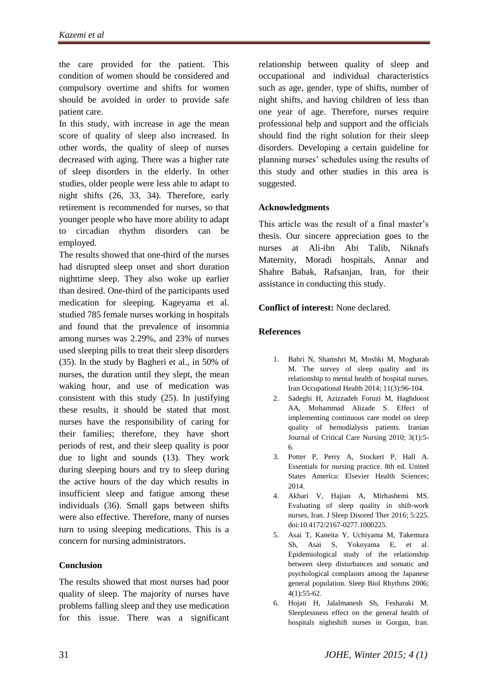the care provided for the patient. This condition of women should be considered and compulsory overtime and shifts for women should be avoided in order to provide safe patient care.

In this study, with increase in age the mean score of quality of sleep also increased. In other words, the quality of sleep of nurses decreased with aging. There was a higher rate of sleep disorders in the elderly. In other studies, older people were less able to adapt to night shifts (26, 33, 34). Therefore, early retirement is recommended for nurses, so that younger people who have more ability to adapt to circadian rhythm disorders can be employed.

The results showed that one-third of the nurses had disrupted sleep onset and short duration nighttime sleep. They also woke up earlier than desired. One-third of the participants used medication for sleeping. Kageyama et al. studied 785 female nurses working in hospitals and found that the prevalence of insomnia among nurses was 2.29%, and 23% of nurses used sleeping pills to treat their sleep disorders (35). In the study by Bagheri et al., in 50% of nurses, the duration until they slept, the mean waking hour, and use of medication was consistent with this study (25). In justifying these results, it should be stated that most nurses have the responsibility of caring for their families; therefore, they have short periods of rest, and their sleep quality is poor due to light and sounds (13). They work during sleeping hours and try to sleep during the active hours of the day which results in insufficient sleep and fatigue among these individuals (36). Small gaps between shifts were also effective. Therefore, many of nurses turn to using sleeping medications. This is a concern for nursing administrators.

# **Conclusion**

The results showed that most nurses had poor quality of sleep. The majority of nurses have problems falling sleep and they use medication for this issue. There was a significant relationship between quality of sleep and occupational and individual characteristics such as age, gender, type of shifts, number of night shifts, and having children of less than one year of age. Therefore, nurses require professional help and support and the officials should find the right solution for their sleep disorders. Developing a certain guideline for planning nurses' schedules using the results of this study and other studies in this area is suggested.

## **Acknowledgments**

This article was the result of a final master's thesis. Our sincere appreciation goes to the nurses at Ali-ibn Abi Talib, Niknafs Maternity, Moradi hospitals, Annar and Shahre Babak, Rafsanjan, Iran, for their assistance in conducting this study.

#### **Conflict of interest:** None declared.

#### **References**

- 1. Bahri N, Shamshri M, Moshki M, Mogharab M. The survey of sleep quality and its relationship to mental health of hospital nurses. Iran Occupational Health 2014; 11(3):96-104.
- 2. Sadeghi H, [Azizzadeh Foruzi M, Haghdoost](http://www.inhc.ir/search.php?slc_lang=en&sid=1&auth=Azizzadeh+Foruzi+M.)  AA, [Mohammad Alizade S.](http://www.inhc.ir/search.php?slc_lang=en&sid=1&auth=Mohammad+Alizade+S.) Effect of implementing continuous care model on sleep quality of hemodialysis patients. Iranian Journal of Critical Care Nursing 2010; 3(1):5- 6.
- 3. Potter P, Perry A, Stockert P, Hall A. Essentials for nursing practice. 8th ed. United States America: Elsevier Health Sciences; 2014.
- 4. Akbari V, Hajian A, Mirhashemi MS. Evaluating of sleep quality in shift-work nurses, Iran. J Sleep Disored Ther 2016; 5:225. doi:10.4172/2167-0277.1000225.
- 5. Asai T, Kaneita Y, Uchiyama M, Takemura Sh, Asai S, Yokoyama E, et al. Epidemiological study of the relationship between sleep disturbances and somatic and psychological complaints among the Japanese general population. Sleep Biol Rhythms 2006; 4(1):55-62.
- 6. Hojati H, Jalalmanesh Sh, Fesharaki M. Sleeplessness effect on the general health of hospitals nightshift nurses in Gorgan, Iran.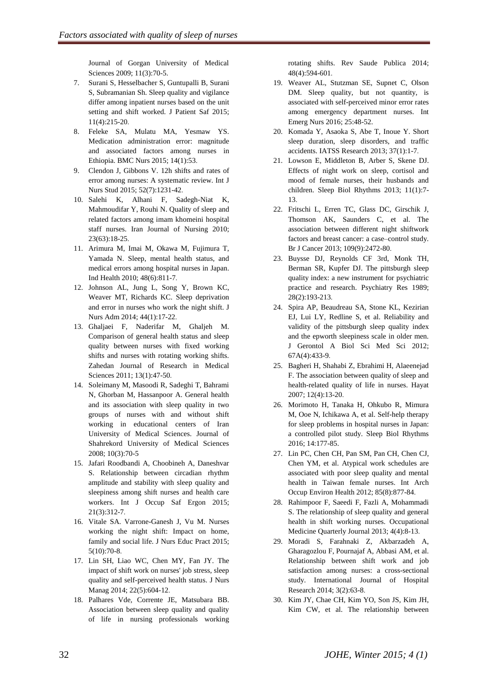Journal of Gorgan University of Medical Sciences 2009; 11(3):70-5.

- 7. Surani S, [Hesselbacher](https://www.researchgate.net/profile/Sean_Hesselbacher) S, Guntupalli B, [Surani](https://www.researchgate.net/researcher/2042305339_Sara_Surani)  S[, Subramanian](https://www.researchgate.net/researcher/2088896015_Shyam_Subramanian) Sh. Sleep quality and vigilance differ among inpatient nurses based on the unit setting and shift worked. J Patient Saf 2015; 11(4):215-20.
- 8. Feleke SA, Mulatu MA, Yesmaw YS. Medication administration error: magnitude and associated factors among nurses in Ethiopia. BMC Nurs 2015; 14(1):53.
- 9. Clendon J, Gibbons V. 12h shifts and rates of error among nurses: A systematic review. Int J Nurs Stud 2015; 52(7):1231-42.
- 10. Salehi K, Alhani F, Sadegh-Niat K, Mahmoudifar Y, Rouhi N. Quality of sleep and related factors among imam khomeini hospital staff nurses. Iran Journal of Nursing 2010; 23(63):18-25.
- 11. Arimura M, [Imai M,](http://www.ncbi.nlm.nih.gov/pubmed/?term=Imai%20M%5BAuthor%5D&cauthor=true&cauthor_uid=20616466) [Okawa M,](http://www.ncbi.nlm.nih.gov/pubmed/?term=Okawa%20M%5BAuthor%5D&cauthor=true&cauthor_uid=20616466) [Fujimura T,](http://www.ncbi.nlm.nih.gov/pubmed/?term=Fujimura%20T%5BAuthor%5D&cauthor=true&cauthor_uid=20616466)  [Yamada N.](http://www.ncbi.nlm.nih.gov/pubmed/?term=Yamada%20N%5BAuthor%5D&cauthor=true&cauthor_uid=20616466) Sleep, mental health status, and medical errors among hospital nurses in Japan. Ind Health 2010; 48(6):811-7.
- 12. Johnson AL, [Jung L,](http://www.ncbi.nlm.nih.gov/pubmed/?term=Jung%20L%5BAuthor%5D&cauthor=true&cauthor_uid=24316614) [Song Y,](http://www.ncbi.nlm.nih.gov/pubmed/?term=Song%20Y%5BAuthor%5D&cauthor=true&cauthor_uid=24316614) [Brown KC,](http://www.ncbi.nlm.nih.gov/pubmed/?term=Brown%20KC%5BAuthor%5D&cauthor=true&cauthor_uid=24316614)  [Weaver MT,](http://www.ncbi.nlm.nih.gov/pubmed/?term=Weaver%20MT%5BAuthor%5D&cauthor=true&cauthor_uid=24316614) [Richards KC.](http://www.ncbi.nlm.nih.gov/pubmed/?term=Richards%20KC%5BAuthor%5D&cauthor=true&cauthor_uid=24316614) Sleep deprivation and error in nurses who work the night shift. J Nurs Adm 2014; 44(1):17-22.
- 13. Ghaljaei F, Naderifar M, Ghaljeh M. Comparison of general health status and sleep quality between nurses with fixed working shifts and nurses with rotating working shifts. Zahedan Journal of Research in Medical Sciences 2011; 13(1):47-50.
- 14. Soleimany M, Masoodi R, Sadeghi T, Bahrami N, Ghorban M, Hassanpoor A. General health and its association with sleep quality in two groups of nurses with and without shift working in educational centers of Iran University of Medical Sciences. Journal of Shahrekord University of Medical Sciences 2008; 10(3):70-5
- 15. Jafari Roodbandi A, Choobineh A, Daneshvar S. Relationship between circadian rhythm amplitude and stability with sleep quality and sleepiness among shift nurses and health care workers. Int J Occup Saf Ergon 2015; 21(3):312-7.
- 16. Vitale SA. Varrone-Ganesh J, Vu M. Nurses working the night shift: Impact on home, family and social life. J Nurs Educ Pract 2015; 5(10):70-8.
- 17. Lin SH, [Liao WC,](http://www.ncbi.nlm.nih.gov/pubmed/?term=Liao%20WC%5BAuthor%5D&cauthor=true&cauthor_uid=25041800) [Chen MY,](http://www.ncbi.nlm.nih.gov/pubmed/?term=Chen%20MY%5BAuthor%5D&cauthor=true&cauthor_uid=25041800) [Fan JY.](http://www.ncbi.nlm.nih.gov/pubmed/?term=Fan%20JY%5BAuthor%5D&cauthor=true&cauthor_uid=25041800) The impact of shift work on nurses' job stress, sleep quality and self-perceived health status. J Nurs Manag 2014; 22(5):604-12.
- 18. Palhares Vde, Corrente JE, Matsubara BB. Association between sleep quality and quality of life in nursing professionals working

rotating shifts. Rev Saude Publica 2014; 48(4):594-601.

- 19. Weaver AL, [Stutzman SE,](http://www.ncbi.nlm.nih.gov/pubmed/?term=Stutzman%20SE%5BAuthor%5D&cauthor=true&cauthor_uid=26360412) [Supnet C,](http://www.ncbi.nlm.nih.gov/pubmed/?term=Supnet%20C%5BAuthor%5D&cauthor=true&cauthor_uid=26360412) [Olson](http://www.ncbi.nlm.nih.gov/pubmed/?term=Olson%20DM%5BAuthor%5D&cauthor=true&cauthor_uid=26360412)  [DM.](http://www.ncbi.nlm.nih.gov/pubmed/?term=Olson%20DM%5BAuthor%5D&cauthor=true&cauthor_uid=26360412) Sleep quality, but not quantity, is associated with self-perceived minor error rates among emergency department nurses. Int Emerg Nurs 2016; 25:48-52.
- 20. Komada Y, [Asaoka](http://www.sciencedirect.com/science/article/pii/S0386111213000149) S, [Abe](http://www.sciencedirect.com/science/article/pii/S0386111213000149) T, [Inoue](http://www.sciencedirect.com/science/article/pii/S0386111213000149) Y. Short sleep duration, sleep disorders, and traffic accidents. IATSS Research 2013; 37(1):1-7.
- 21. Lowson E, Middleton B, Arber S, Skene DJ. Effects of night work on sleep, cortisol and mood of female nurses, their husbands and children. Sleep Biol Rhythms 2013; 11(1):7- 13.
- 22. [Fritschi L,](http://www.ncbi.nlm.nih.gov/pubmed/?term=Fritschi%20L%5BAuthor%5D&cauthor=true&cauthor_uid=24022188) [Erren TC,](http://www.ncbi.nlm.nih.gov/pubmed/?term=Erren%20TC%5BAuthor%5D&cauthor=true&cauthor_uid=24022188) [Glass DC,](http://www.ncbi.nlm.nih.gov/pubmed/?term=Glass%20DC%5BAuthor%5D&cauthor=true&cauthor_uid=24022188) [Girschik J,](http://www.ncbi.nlm.nih.gov/pubmed/?term=Girschik%20J%5BAuthor%5D&cauthor=true&cauthor_uid=24022188) [Thomson AK,](http://www.ncbi.nlm.nih.gov/pubmed/?term=Thomson%20AK%5BAuthor%5D&cauthor=true&cauthor_uid=24022188) [Saunders C,](http://www.ncbi.nlm.nih.gov/pubmed/?term=Saunders%20C%5BAuthor%5D&cauthor=true&cauthor_uid=24022188) et al. The association between different night shiftwork factors and breast cancer: a case–control study. Br J Cancer 2013; 109(9):2472-80.
- 23. [Buysse DJ,](http://www.ncbi.nlm.nih.gov/pubmed/?term=Buysse%20DJ%5BAuthor%5D&cauthor=true&cauthor_uid=2748771) [Reynolds CF 3rd,](http://www.ncbi.nlm.nih.gov/pubmed/?term=Reynolds%20CF%203rd%5BAuthor%5D&cauthor=true&cauthor_uid=2748771) [Monk TH,](http://www.ncbi.nlm.nih.gov/pubmed/?term=Monk%20TH%5BAuthor%5D&cauthor=true&cauthor_uid=2748771) [Berman SR,](http://www.ncbi.nlm.nih.gov/pubmed/?term=Berman%20SR%5BAuthor%5D&cauthor=true&cauthor_uid=2748771) [Kupfer DJ.](http://www.ncbi.nlm.nih.gov/pubmed/?term=Kupfer%20DJ%5BAuthor%5D&cauthor=true&cauthor_uid=2748771) The pittsburgh sleep quality index: a new instrument for psychiatric practice and research. Psychiatry Res 1989; 28(2):193-213.
- 24. [Spira](http://www.ncbi.nlm.nih.gov/pubmed/?term=Spira%20AP%5Bauth%5D) AP, [Beaudreau](http://www.ncbi.nlm.nih.gov/pubmed/?term=Beaudreau%20SA%5Bauth%5D) SA, [Stone](http://www.ncbi.nlm.nih.gov/pubmed/?term=Stone%20KL%5Bauth%5D) KL, [Kezirian](http://www.ncbi.nlm.nih.gov/pubmed/?term=Kezirian%20EJ%5Bauth%5D) EJ, [Lui](http://www.ncbi.nlm.nih.gov/pubmed/?term=Lui%20LY%5Bauth%5D) LY, [Redline](http://www.ncbi.nlm.nih.gov/pubmed/?term=Redline%20S%5Bauth%5D) S, et al. Reliability and validity of the pittsburgh sleep quality index and the epworth sleepiness scale in older men. J Gerontol A Biol Sci Med Sci 2012; 67A(4):433-9.
- 25. Bagheri H, Shahabi Z, Ebrahimi H, Alaeenejad F. The association between quality of sleep and health-related quality of life in nurses. Hayat 2007; 12(4):13-20.
- 26. Morimoto H, [Tanaka H,](http://www.ncbi.nlm.nih.gov/pubmed/?term=Tanaka%20H%5BAuthor%5D&cauthor=true&cauthor_uid=27076779) [Ohkubo R,](http://www.ncbi.nlm.nih.gov/pubmed/?term=Ohkubo%20R%5BAuthor%5D&cauthor=true&cauthor_uid=27076779) [Mimura](http://www.ncbi.nlm.nih.gov/pubmed/?term=Mimura%20M%5BAuthor%5D&cauthor=true&cauthor_uid=27076779)  [M,](http://www.ncbi.nlm.nih.gov/pubmed/?term=Mimura%20M%5BAuthor%5D&cauthor=true&cauthor_uid=27076779) [Ooe N,](http://www.ncbi.nlm.nih.gov/pubmed/?term=Ooe%20N%5BAuthor%5D&cauthor=true&cauthor_uid=27076779) [Ichikawa A,](http://www.ncbi.nlm.nih.gov/pubmed/?term=Ichikawa%20A%5BAuthor%5D&cauthor=true&cauthor_uid=27076779) et al. Self-help therapy for sleep problems in hospital nurses in Japan: a controlled pilot study. Sleep Biol Rhythms 2016; 14:177-85.
- 27. Lin PC, [Chen CH,](http://www.ncbi.nlm.nih.gov/pubmed/?term=Chen%20CH%5BAuthor%5D&cauthor=true&cauthor_uid=22207296) [Pan SM,](http://www.ncbi.nlm.nih.gov/pubmed/?term=Pan%20SM%5BAuthor%5D&cauthor=true&cauthor_uid=22207296) [Pan CH,](http://www.ncbi.nlm.nih.gov/pubmed/?term=Pan%20CH%5BAuthor%5D&cauthor=true&cauthor_uid=22207296) [Chen CJ,](http://www.ncbi.nlm.nih.gov/pubmed/?term=Chen%20CJ%5BAuthor%5D&cauthor=true&cauthor_uid=22207296) [Chen YM,](http://www.ncbi.nlm.nih.gov/pubmed/?term=Chen%20YM%5BAuthor%5D&cauthor=true&cauthor_uid=22207296) et al. Atypical work schedules are associated with poor sleep quality and mental health in Taiwan female nurses. Int Arch Occup Environ Health 2012; 85(8):877-84.
- 28. Rahimpoor F, [Saeedi](http://tkj.ssu.ac.ir/search.php?slc_lang=en&sid=1&auth=Saeedi) F, [Fazli](http://tkj.ssu.ac.ir/search.php?slc_lang=en&sid=1&auth=Fazli) A, [Mohammadi](http://tkj.ssu.ac.ir/search.php?slc_lang=en&sid=1&auth=Mohammadi) [S. T](http://tkj.ssu.ac.ir/search.php?slc_lang=en&sid=1&auth=Mohammadi)he relationship of sleep quality and general health in shift working nurses. Occupational Medicine Quarterly Journal 2013; 4(4):8-13.
- 29. Moradi S, [Farahnaki](http://ijhr.iums.ac.ir/?_action=article&au=93623&_au=Zahra++Farahnaki) Z, [Akbarzadeh](http://ijhr.iums.ac.ir/?_action=article&au=93624&_au=Arash++Akbarzadeh) A, [Gharagozlou](http://ijhr.iums.ac.ir/?_action=article&au=93625&_au=Faramarz++Gharagozlou) F, [Pournajaf](http://ijhr.iums.ac.ir/?_action=article&au=93626&_au=Abdolhessein++Pournajaf) A[, Abbasi](http://ijhr.iums.ac.ir/?_action=article&au=93627&_au=Ali+Mohammad++Abbasi) AM, et al. Relationship between shift work and job satisfaction among nurses: a cross-sectional study. International Journal of Hospital Research 2014; 3(2):63-8.
- 30. Kim JY, [Chae CH,](http://www.ncbi.nlm.nih.gov/pubmed/?term=Chae%20CH%5BAuthor%5D&cauthor=true&cauthor_uid=26688731) [Kim YO,](http://www.ncbi.nlm.nih.gov/pubmed/?term=Kim%20YO%5BAuthor%5D&cauthor=true&cauthor_uid=26688731) [Son JS,](http://www.ncbi.nlm.nih.gov/pubmed/?term=Son%20JS%5BAuthor%5D&cauthor=true&cauthor_uid=26688731) [Kim JH,](http://www.ncbi.nlm.nih.gov/pubmed/?term=Kim%20JH%5BAuthor%5D&cauthor=true&cauthor_uid=26688731) [Kim CW,](http://www.ncbi.nlm.nih.gov/pubmed/?term=Kim%20CW%5BAuthor%5D&cauthor=true&cauthor_uid=26688731) et al. The relationship between